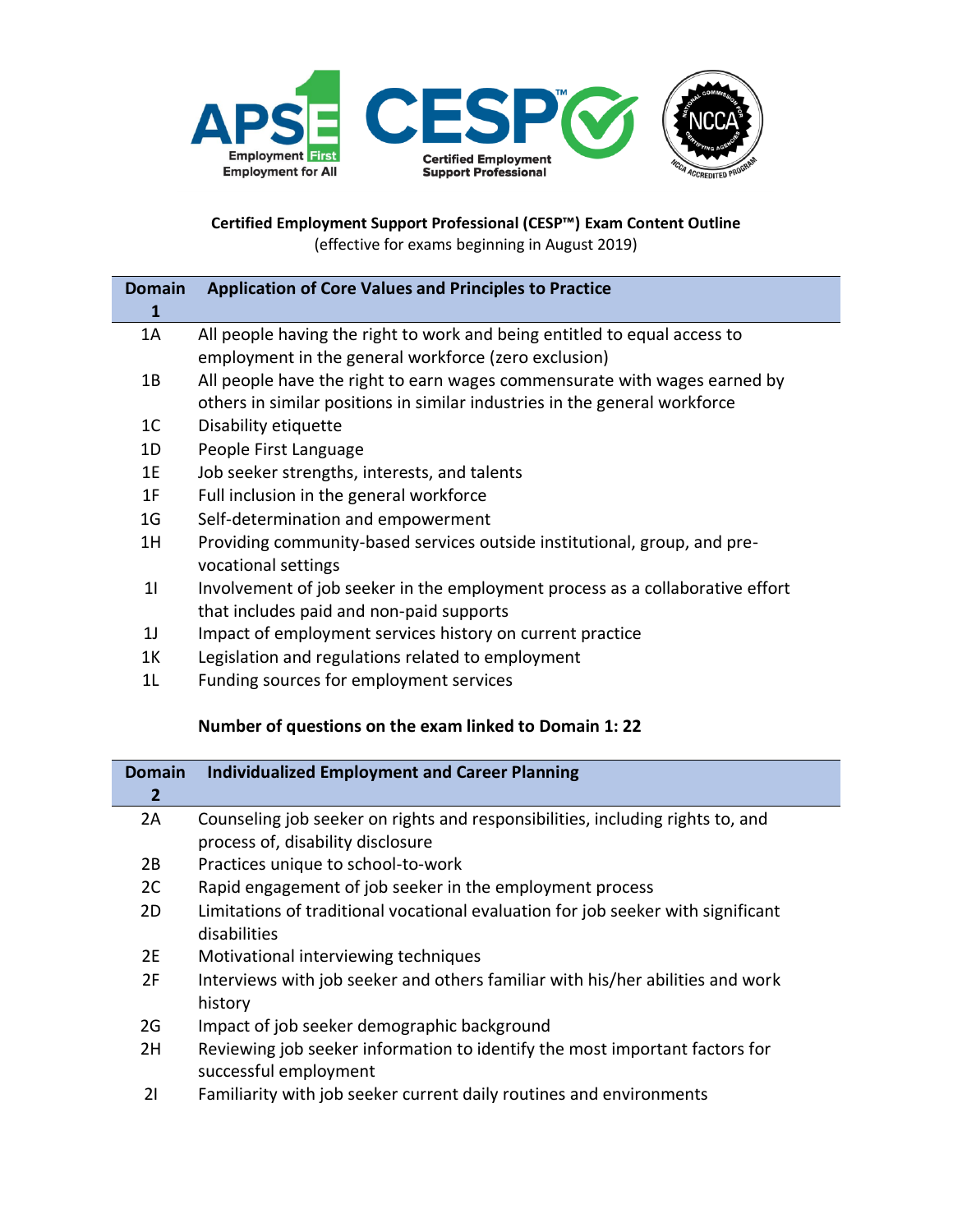

**Certified Employment Support Professional (CESP™) Exam Content Outline** (effective for exams beginning in August 2019)

| <b>Domain</b>  | <b>Application of Core Values and Principles to Practice</b>                  |
|----------------|-------------------------------------------------------------------------------|
| 1              |                                                                               |
| 1A             | All people having the right to work and being entitled to equal access to     |
|                | employment in the general workforce (zero exclusion)                          |
| 1B             | All people have the right to earn wages commensurate with wages earned by     |
|                | others in similar positions in similar industries in the general workforce    |
| 1 <sup>C</sup> | Disability etiquette                                                          |
| 1D             | People First Language                                                         |
| 1E             | Job seeker strengths, interests, and talents                                  |
| 1F             | Full inclusion in the general workforce                                       |
| 1 <sub>G</sub> | Self-determination and empowerment                                            |
| 1H             | Providing community-based services outside institutional, group, and pre-     |
|                | vocational settings                                                           |
| 11             | Involvement of job seeker in the employment process as a collaborative effort |
|                | that includes paid and non-paid supports                                      |
| 1 <sub>1</sub> | Impact of employment services history on current practice                     |
| 1K             | Legislation and regulations related to employment                             |

1L Funding sources for employment services

## **Number of questions on the exam linked to Domain 1: 22**

| <b>Domain</b> | <b>Individualized Employment and Career Planning</b>                             |
|---------------|----------------------------------------------------------------------------------|
| $\mathbf{2}$  |                                                                                  |
| 2A            | Counseling job seeker on rights and responsibilities, including rights to, and   |
|               | process of, disability disclosure                                                |
| 2B            | Practices unique to school-to-work                                               |
| 2C            | Rapid engagement of job seeker in the employment process                         |
| 2D.           | Limitations of traditional vocational evaluation for job seeker with significant |
|               | disabilities                                                                     |
| 2E            | Motivational interviewing techniques                                             |
| 2F            | Interviews with job seeker and others familiar with his/her abilities and work   |
|               | history                                                                          |
| 2G            | Impact of job seeker demographic background                                      |
| 2H            | Reviewing job seeker information to identify the most important factors for      |
|               | successful employment                                                            |
| 21            | Familiarity with job seeker current daily routines and environments              |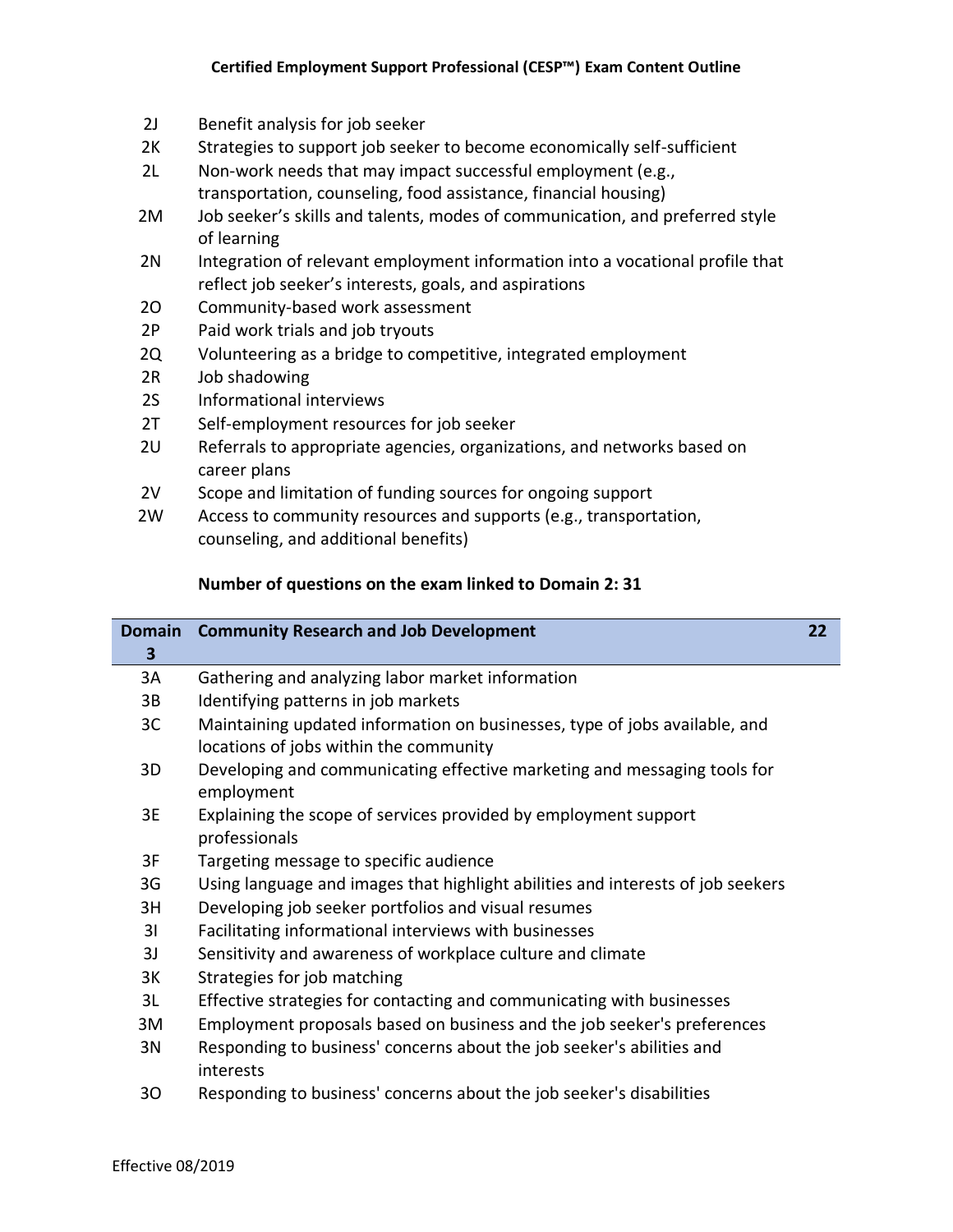- 2J Benefit analysis for job seeker
- 2K Strategies to support job seeker to become economically self-sufficient
- 2L Non-work needs that may impact successful employment (e.g., transportation, counseling, food assistance, financial housing)
- 2M Job seeker's skills and talents, modes of communication, and preferred style of learning
- 2N Integration of relevant employment information into a vocational profile that reflect job seeker's interests, goals, and aspirations
- 2O Community-based work assessment
- 2P Paid work trials and job tryouts
- 2Q Volunteering as a bridge to competitive, integrated employment
- 2R Job shadowing
- 2S Informational interviews
- 2T Self-employment resources for job seeker
- 2U Referrals to appropriate agencies, organizations, and networks based on career plans
- 2V Scope and limitation of funding sources for ongoing support
- 2W Access to community resources and supports (e.g., transportation, counseling, and additional benefits)

## **Number of questions on the exam linked to Domain 2: 31**

| <b>Domain</b> | <b>Community Research and Job Development</b>                                                                        | 22 |
|---------------|----------------------------------------------------------------------------------------------------------------------|----|
| 3             |                                                                                                                      |    |
| 3A            | Gathering and analyzing labor market information                                                                     |    |
| 3B            | Identifying patterns in job markets                                                                                  |    |
| 3C            | Maintaining updated information on businesses, type of jobs available, and<br>locations of jobs within the community |    |
| 3D            | Developing and communicating effective marketing and messaging tools for<br>employment                               |    |
| 3E            | Explaining the scope of services provided by employment support<br>professionals                                     |    |
| 3F            | Targeting message to specific audience                                                                               |    |
| 3G            | Using language and images that highlight abilities and interests of job seekers                                      |    |
| 3H            | Developing job seeker portfolios and visual resumes                                                                  |    |
| 31            | Facilitating informational interviews with businesses                                                                |    |
| 3J            | Sensitivity and awareness of workplace culture and climate                                                           |    |
| 3K            | Strategies for job matching                                                                                          |    |
| 3L            | Effective strategies for contacting and communicating with businesses                                                |    |
| 3M            | Employment proposals based on business and the job seeker's preferences                                              |    |
| 3N            | Responding to business' concerns about the job seeker's abilities and<br>interests                                   |    |
| 30            | Responding to business' concerns about the job seeker's disabilities                                                 |    |